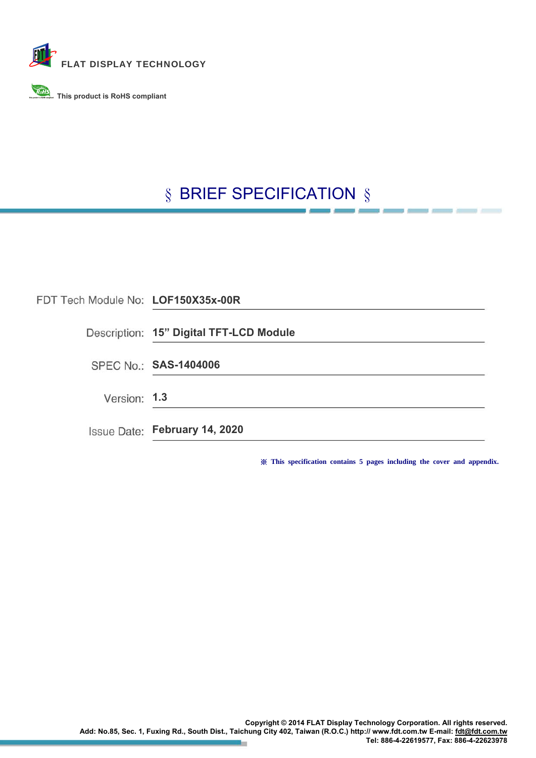

**This product is RoHS compliant This product is RoHS compliant**

#### § BRIEF SPECIFICATION §

| FDT Tech Module No: LOF150X35x-00R |                                         |
|------------------------------------|-----------------------------------------|
|                                    | Description: 15" Digital TFT-LCD Module |
|                                    | SPEC No.: SAS-1404006                   |
| Version: 1.3                       |                                         |
|                                    | Issue Date: February 14, 2020           |

※ **This specification contains 5 pages including the cover and appendix.**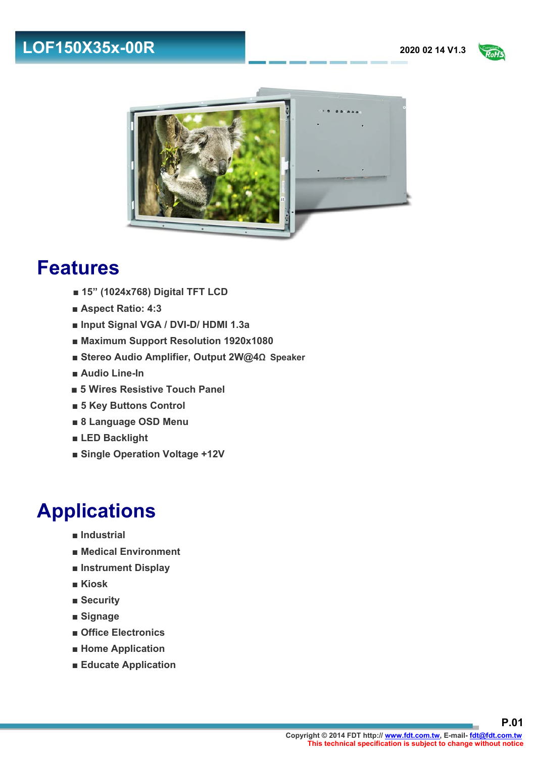### **LOF150X35x-00R** 2020 02 14 V1.3





#### **Features**

- **■ 15" (1024x768) Digital TFT LCD**
- **■ Aspect Ratio: 4:3**
- **■ Input Signal VGA / DVI-D/ HDMI 1.3a**
- **■ Maximum Support Resolution 1920x1080**
- **■ Stereo Audio Amplifier, Output 2W@4**Ω **Speaker**
- **■ Audio Line-In**
- 5 Wires Resistive Touch Panel
- **■ 5 Key Buttons Control**
- **■ 8 Language OSD Menu**
- **■ LED Backlight**
- **■ Single Operation Voltage +12V**

## **Applications**

- **Industrial**
- **■ Medical Environment**
- **■ Instrument Display**
- **■ Kiosk**
- **■ Security**
- **■ Signage**
- **■ Office Electronics**
- **■ Home Application**
- **■ Educate Application**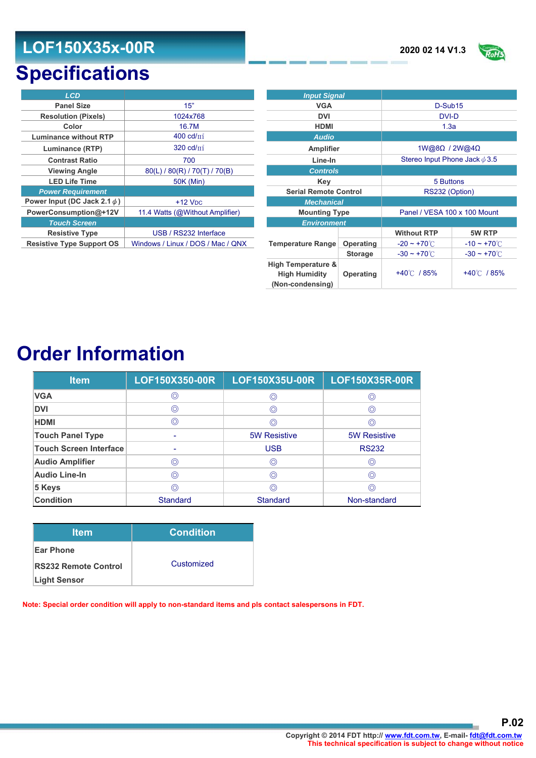#### **LOF150X35x-00R** 2020 02 14 V1.3



## **Specifications**

| <b>LCD</b>                        |                                   | <b>Input Signal</b>          |           |                          |        |
|-----------------------------------|-----------------------------------|------------------------------|-----------|--------------------------|--------|
| <b>Panel Size</b>                 | 15"                               | <b>VGA</b>                   |           | D-Sub15                  |        |
| <b>Resolution (Pixels)</b>        | 1024x768                          | <b>DVI</b>                   |           | DVI-D                    |        |
| Color                             | 16.7M                             | <b>HDMI</b>                  |           | 1.3a                     |        |
| <b>Luminance without RTP</b>      | 400 $cd/m^2$                      | <b>Audio</b>                 |           |                          |        |
| Luminance (RTP)                   | 320 cd/m <sup>2</sup>             | <b>Amplifier</b>             |           | 1W@8Ω / 2W@4             |        |
| <b>Contrast Ratio</b>             | 700                               | Line-In                      |           | Stereo Input Phone Jac   |        |
| <b>Viewing Angle</b>              | 80(L) / 80(R) / 70(T) / 70(B)     | <b>Controls</b>              |           |                          |        |
| <b>LED Life Time</b>              | 50K (Min)                         | Key                          |           | 5 Buttons                |        |
| <b>Power Requirement</b>          |                                   | <b>Serial Remote Control</b> |           | RS232 (Option)           |        |
| Power Input (DC Jack 2.1 $\phi$ ) | $+12$ V <sub>DC</sub>             | <b>Mechanical</b>            |           |                          |        |
| PowerConsumption@+12V             | 11.4 Watts (@Without Amplifier)   | <b>Mounting Type</b>         |           | Panel / VESA 100 x 100   |        |
| <b>Touch Screen</b>               |                                   | <b>Environment</b>           |           |                          |        |
| <b>Resistive Type</b>             | USB / RS232 Interface             |                              |           | <b>Without RTP</b>       |        |
| <b>Resistive Type Support OS</b>  | Windows / Linux / DOS / Mac / QNX | <b>Temperature Range</b>     | Operating | $-20 \sim +70^{\circ}$ C | $-10$  |
|                                   |                                   |                              | Storage   | $-30 \approx +70$ °C     | −ุ่ ?∩ |

| <b>LCD</b>                        |                                   | <b>Input Signal</b>                                                       |                |                                    |                          |
|-----------------------------------|-----------------------------------|---------------------------------------------------------------------------|----------------|------------------------------------|--------------------------|
| <b>Panel Size</b>                 | 15"                               | <b>VGA</b>                                                                |                | D-Sub15                            |                          |
| <b>Resolution (Pixels)</b>        | 1024x768                          | <b>DVI</b>                                                                |                | DVI-D                              |                          |
| Color                             | 16.7M                             | <b>HDMI</b>                                                               |                | 1.3a                               |                          |
| <b>Luminance without RTP</b>      | 400 cd/ $m^2$                     | <b>Audio</b>                                                              |                |                                    |                          |
| Luminance (RTP)                   | 320 $cd/m^2$                      | Amplifier                                                                 |                | $1W@8\Omega$ / $2W@4\Omega$        |                          |
| <b>Contrast Ratio</b>             | 700                               | Line-In                                                                   |                | Stereo Input Phone Jack $\phi$ 3.5 |                          |
| <b>Viewing Angle</b>              | 80(L) / 80(R) / 70(T) / 70(B)     | <b>Controls</b>                                                           |                |                                    |                          |
| <b>LED Life Time</b>              | <b>50K (Min)</b>                  | Key                                                                       |                | 5 Buttons                          |                          |
| <b>Power Requirement</b>          |                                   | <b>Serial Remote Control</b>                                              |                | RS232 (Option)                     |                          |
| Power Input (DC Jack 2.1 $\phi$ ) | $+12$ V <sub>DC</sub>             | <b>Mechanical</b>                                                         |                |                                    |                          |
| PowerConsumption@+12V             | 11.4 Watts (@Without Amplifier)   | <b>Mounting Type</b>                                                      |                | Panel / VESA 100 x 100 Mount       |                          |
| <b>Touch Screen</b>               |                                   | <b>Environment</b>                                                        |                |                                    |                          |
| <b>Resistive Type</b>             | USB / RS232 Interface             |                                                                           |                | <b>Without RTP</b>                 | 5W RTP                   |
| <b>Resistive Type Support OS</b>  | Windows / Linux / DOS / Mac / QNX | Temperature Range                                                         | Operating      | $-20 - +70^{\circ}$                | $-10 \sim +70^{\circ}$ C |
|                                   |                                   |                                                                           | <b>Storage</b> | $-30 \sim +70^{\circ}$ C           | $-30 \sim +70^{\circ}$ C |
|                                   |                                   | <b>High Temperature &amp;</b><br><b>High Humidity</b><br>(Non-condensing) | Operating      | +40℃ / 85%                         | +40℃ / 85%               |

## **Order Information**

| <b>Item</b>                   | LOF150X350-00R  | LOF150X35U-00R      | LOF150X35R-00R      |
|-------------------------------|-----------------|---------------------|---------------------|
| <b>VGA</b>                    | ◎               | ⊚                   | 0                   |
| <b>DVI</b>                    | $\circledcirc$  | ◎                   | 0                   |
| <b>HDMI</b>                   | $\circledcirc$  | ⊚                   | 0                   |
| <b>Touch Panel Type</b>       |                 | <b>5W Resistive</b> | <b>5W Resistive</b> |
| <b>Touch Screen Interface</b> |                 | <b>USB</b>          | <b>RS232</b>        |
| <b>Audio Amplifier</b>        | $\circledcirc$  | ◎                   | $\circledcirc$      |
| <b>Audio Line-In</b>          | $\circledcirc$  | $\circledcirc$      | ⊚                   |
| 5 Keys                        | $\circledcirc$  | $\circledcirc$      | ⊙                   |
| <b>Condition</b>              | <b>Standard</b> | <b>Standard</b>     | Non-standard        |

| <b>Item</b>                 | <b>Condition</b> |
|-----------------------------|------------------|
| <b>Ear Phone</b>            |                  |
| <b>RS232 Remote Control</b> | Customized       |
| <b>Light Sensor</b>         |                  |

**Note: Special order condition will apply to non-standard items and pls contact salespersons in FDT.**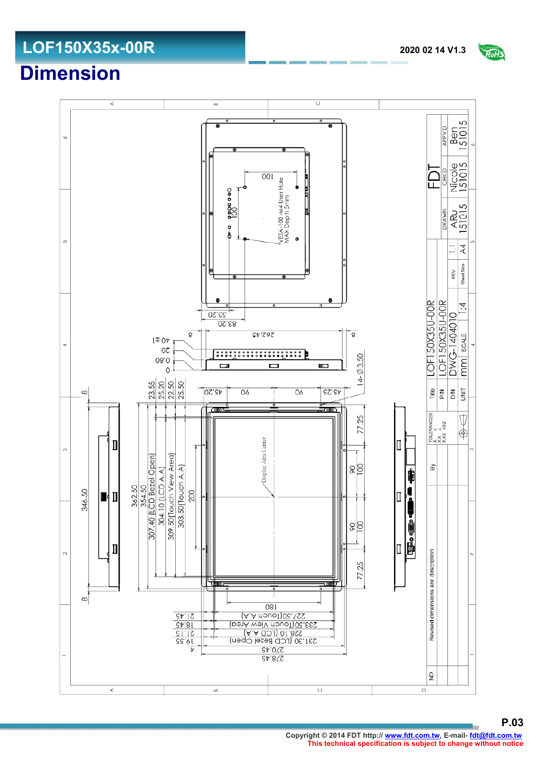**P.03 Copyright © 2014 FDT http:// www.fdt.com.tw, E-mail- fdt@fdt.com.tw This technical specification is subject to change without notice**

# **Dimension**